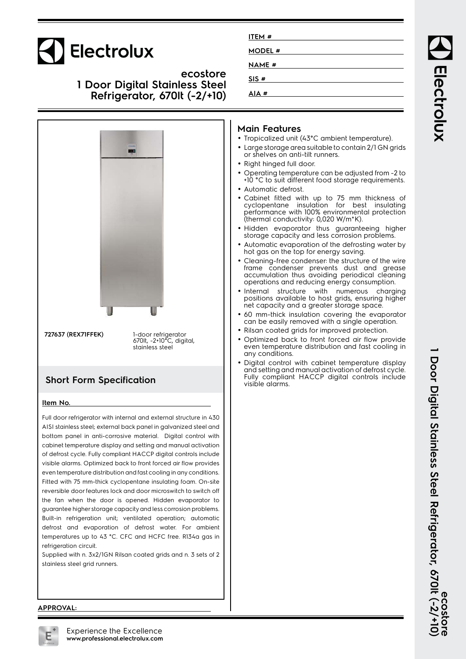# Electrolux

**ecostore 1 Door Digital Stainless Steel Refrigerator, 670lt (-2/+10)**



### **Short Form Specification**

#### **Item No.**

Full door refrigerator with internal and external structure in 430 AISI stainless steel; external back panel in galvanized steel and bottom panel in anti-corrosive material. Digital control with cabinet temperature display and setting and manual activation of defrost cycle. Fully compliant HACCP digital controls include visible alarms. Optimized back to front forced air flow provides even temperature distribution and fast cooling in any conditions. Fitted with 75 mm-thick cyclopentane insulating foam. On-site reversible door features lock and door microswitch to switch off the fan when the door is opened. Hidden evaporator to guarantee higher storage capacity and less corrosion problems. Built-in refrigeration unit; ventilated operation; automatic defrost and evaporation of defrost water. For ambient temperatures up to 43 °C. CFC and HCFC free. R134a gas in refrigeration circuit.

Supplied with n. 3x2/1GN Rilsan coated grids and n. 3 sets of 2 stainless steel grid runners.

| ITEM #        |  |  |
|---------------|--|--|
| <b>MODEL#</b> |  |  |
| <b>NAME#</b>  |  |  |
| SIS#          |  |  |
| AIA#          |  |  |

#### **Main Features**

- Tropicalized unit (43°C ambient temperature).
- Large storage area suitable to contain 2/1 GN grids or shelves on anti-tilt runners.
- Right hinged full door.
- • Operating temperature can be adjusted from -2 to +10 °C to suit different food storage requirements.
- Automatic defrost.
- • Cabinet fitted with up to 75 mm thickness of cyclopentane insulation for best insulating performance with 100% environmental protection (thermal conductivity: 0,020 W/m\*K).
- Hidden evaporator thus guaranteeing higher storage capacity and less corrosion problems.
- • Automatic evaporation of the defrosting water by hot gas on the top for energy saving.
- • Cleaning-free condenser: the structure of the wire frame condenser prevents dust and grease accumulation thus avoiding periodical cleaning operations and reducing energy consumption.
- Internal structure with numerous charging positions available to host grids, ensuring higher net capacity and a greater storage space.
- 60 mm-thick insulation covering the evaporator can be easily removed with a single operation.
- Rilsan coated grids for improved protection.
- • Optimized back to front forced air flow provide even temperature distribution and fast cooling in any conditions.
- Digital control with cabinet temperature display and setting and manual activation of defrost cycle. Fully compliant HACCP digital controls include visible alarms.

#### **APPROVAL:**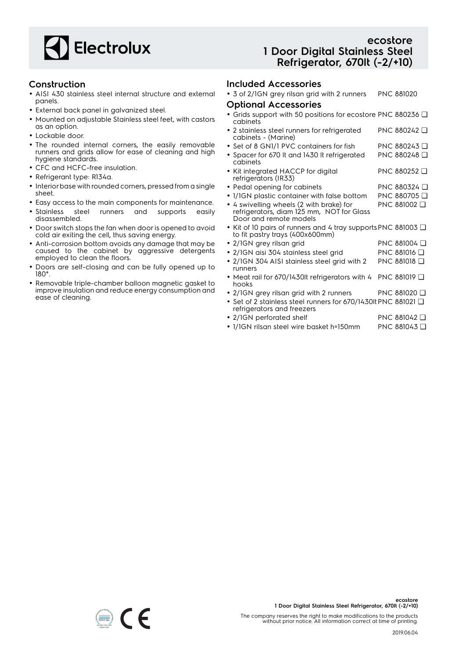

### **Construction**

- AISI 430 stainless steel internal structure and external panels.
- External back panel in galvanized steel.
- Mounted on adjustable Stainless steel feet, with castors as an option.
- Lockable door.
- The rounded internal corners, the easily removable runners and grids allow for ease of cleaning and high hygiene standards.
- CFC and HCFC-free insulation.
- Refrigerant type: R134a.
- Interior base with rounded corners, pressed from a single sheet.
- Easy access to the main components for maintenance.
- Stainless steel runners and supports easily disassembled.
- Door switch stops the fan when door is opened to avoid cold air exiting the cell, thus saving energy.
- Anti-corrosion bottom avoids any damage that may be caused to the cabinet by aggressive detergents employed to clean the floors.
- Doors are self-closing and can be fully opened up to 180°.
- Removable triple-chamber balloon magnetic gasket to improve insulation and reduce energy consumption and ease of cleaning.

## **ecostore 1 Door Digital Stainless Steel Refrigerator, 670lt (-2/+10)**

### **Included Accessories**

• 3 of 2/1GN grey rilsan grid with 2 runners PNC 881020

- **Optional Accessories**
- Grids support with 50 positions for ecostore PNC 880236 ❑ cabinets
- 2 stainless steel runners for refrigerated cabinets - (Marine) PNC 880242 ❑
- Set of 8 GN1/1 PVC containers for fish PNC 880243 ❑
- Spacer for 670 lt and 1430 lt refrigerated cabinets PNC 880248 ❑
- Kit integrated HACCP for digital refrigerators (IR33) PNC 880252 ❑
- Pedal opening for cabinets PNC 880324 Q
- 1/1GN plastic container with false bottom PNC 880705 ❑
- 4 swivelling wheels (2 with brake) for PNC 881002 ❑
	- refrigerators, diam 125 mm, NOT for Glass Door and remote models
- Kit of 10 pairs of runners and 4 tray supports PNC 881003 ❑ to fit pastry trays (400x600mm)
- 2/1GN grey rilsan grid PNC 881004 ❑
- 2/1GN aisi 304 stainless steel grid PNC 881016 ❑
- 2/1GN 304 AISI stainless steel grid with 2 runners PNC 881018 ❑
- Meat rail for 670/1430lt refrigerators with 4 hooks PNC 881019 ❑
- 2/1GN grey rilsan grid with 2 runners PNC 881020 ❑
- Set of 2 stainless steel runners for 670/1430lt PNC 881021 ❑ refrigerators and freezers
- 2/1GN perforated shelf PNC 881042 ❑
- 1/1GN rilsan steel wire basket h=150mm PNC 881043 ❑

The company reserves the right to make modifications to the products without prior notice. All information correct at time of printing.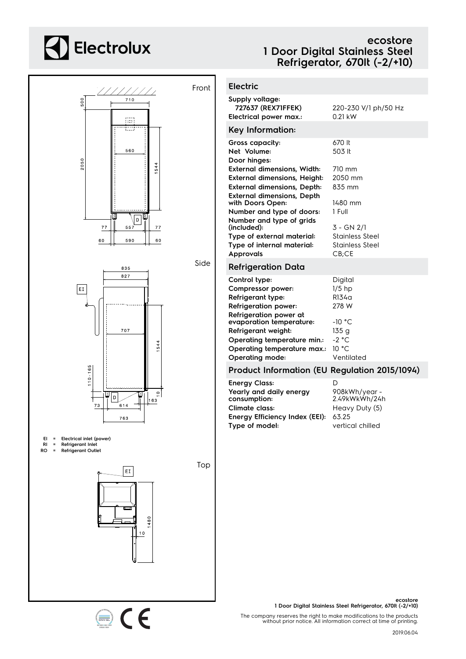# **Electrolux**

## **ecostore 1 Door Digital Stainless Steel Refrigerator, 670lt (-2/+10)**



1480  $\frac{10}{1}$ 

CE

| <b>Electric</b>                                                                                          |                                                           |
|----------------------------------------------------------------------------------------------------------|-----------------------------------------------------------|
| Supply voltage:<br>727637 (REX71FFEK)<br>Electrical power max.:                                          | 220-230 V/1 ph/50 Hz<br>$0.21$ kW                         |
| Key Information:                                                                                         |                                                           |
| Gross capacity:<br>Net Volume:<br>Door hinges:                                                           | 670 It<br>503 lt                                          |
| <b>External dimensions, Width:</b><br><b>External dimensions, Height:</b>                                | 710 mm<br>2050 mm<br>835 mm                               |
| <b>External dimensions, Depth:</b><br><b>External dimensions, Depth</b><br>with Doors Open:              | 1480 mm<br>1 Full                                         |
| Number and type of doors:<br>Number and type of grids<br>(included):                                     | 3 - GN 2/1                                                |
| Type of external material:<br>Type of internal material:<br><b>Approvals</b>                             | <b>Stainless Steel</b><br><b>Stainless Steel</b><br>CB;CE |
| <b>Refrigeration Data</b>                                                                                |                                                           |
| Control type:<br>Compressor power:<br>Refrigerant type:<br><b>Refrigeration power:</b>                   | Digital<br>$1/5$ hp<br>R134a<br>278 W                     |
| Refrigeration power at<br>evaporation temperature:<br>Refrigerant weight:<br>Operating temperature min.: | $-10 °C$<br>135g<br>$-2 °C$                               |
| Operating temperature max.:<br>Operating mode:                                                           | 10 °C<br>Ventilated                                       |
| Product Information (EU Regulation 2015/1094)                                                            |                                                           |
| <b>Energy Class:</b><br>Yearly and daily energy<br>consumption:                                          | D<br>908kWh/year-<br>2.49kWkWh/24h                        |
| Climate class:                                                                                           | Heavy Duty (5)                                            |

**Energy Efficiency Index (EEI):** 63.25

**Type of model:** vertical chilled

**ecostore 1 Door Digital Stainless Steel Refrigerator, 670lt (-2/+10)**

The company reserves the right to make modifications to the products without prior notice. All information correct at time of printing.